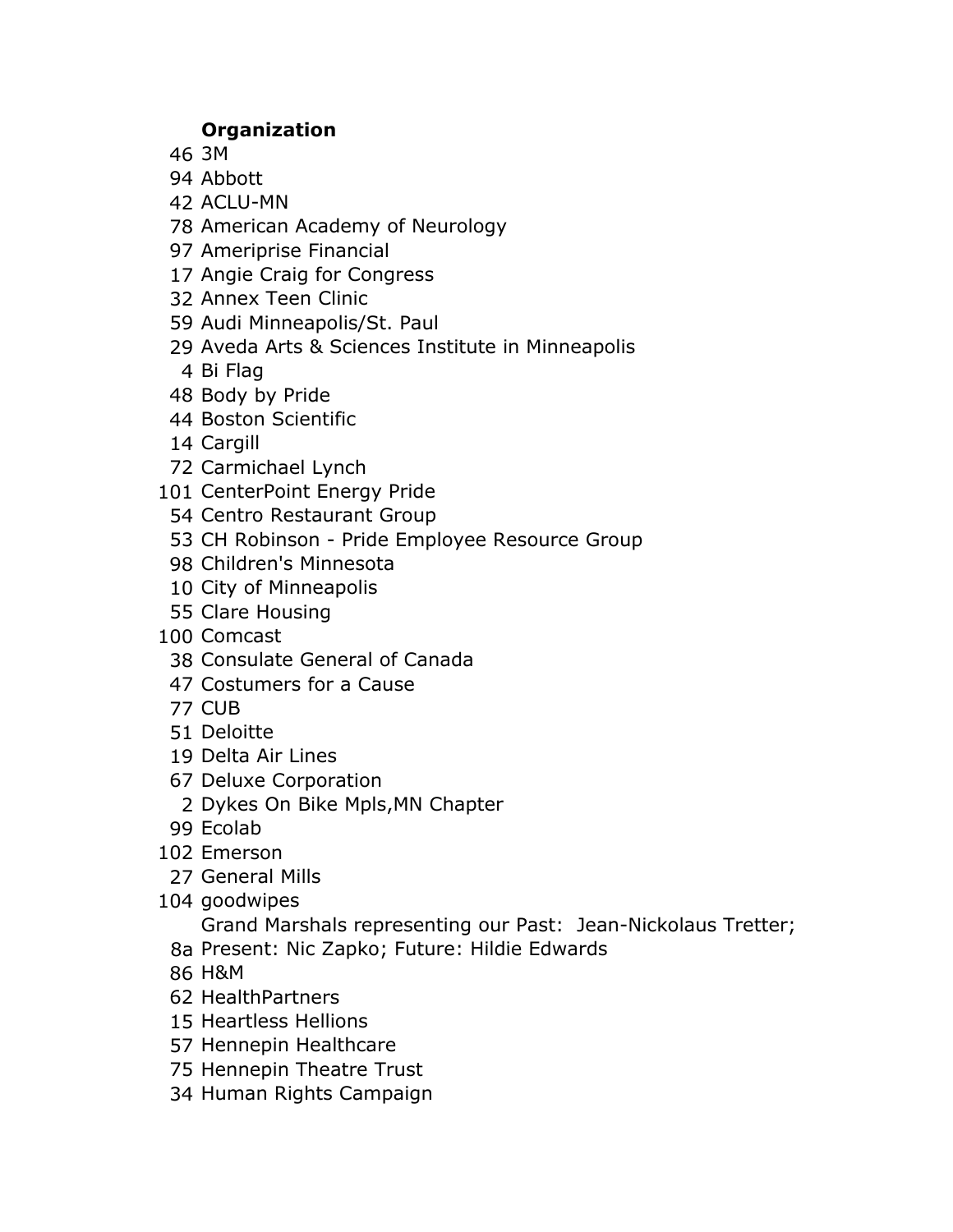## **Organization**

3M

Abbott

ACLU-MN

American Academy of Neurology

- Ameriprise Financial
- Angie Craig for Congress
- Annex Teen Clinic
- Audi Minneapolis/St. Paul
- Aveda Arts & Sciences Institute in Minneapolis
	- Bi Flag
- Body by Pride
- Boston Scientific
- Cargill
- Carmichael Lynch
- CenterPoint Energy Pride
	- Centro Restaurant Group
- CH Robinson Pride Employee Resource Group
- Children's Minnesota
- City of Minneapolis
- Clare Housing
- Comcast
- Consulate General of Canada
- Costumers for a Cause
- CUB
- Deloitte
- Delta Air Lines
- Deluxe Corporation
	- Dykes On Bike Mpls,MN Chapter
- Ecolab
- Emerson
	- General Mills
- goodwipes

Grand Marshals representing our Past: Jean-Nickolaus Tretter;

- 8a Present: Nic Zapko; Future: Hildie Edwards
- H&M
- HealthPartners
- Heartless Hellions
- Hennepin Healthcare
- Hennepin Theatre Trust
- Human Rights Campaign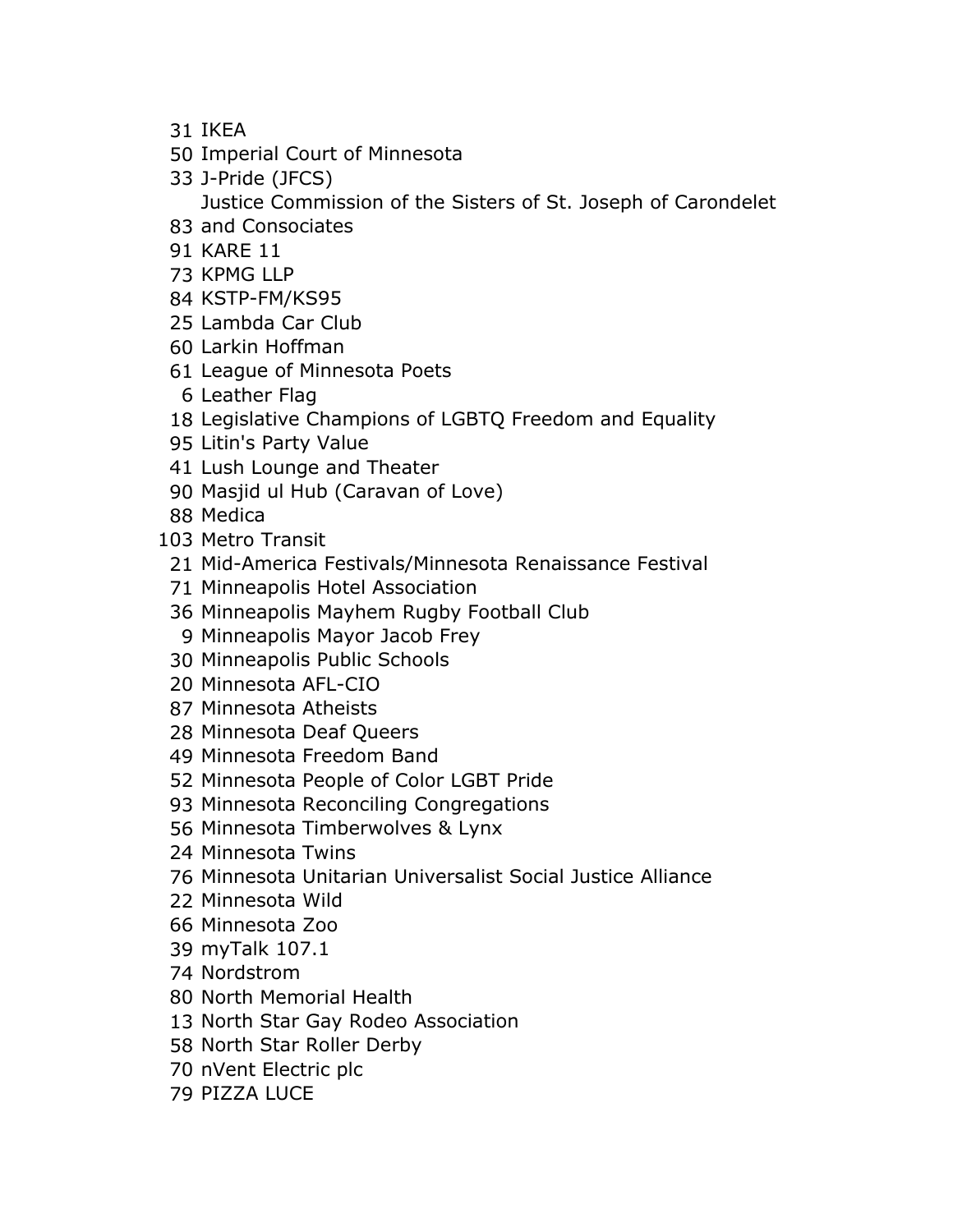- IKEA
- Imperial Court of Minnesota
- J-Pride (JFCS)

Justice Commission of the Sisters of St. Joseph of Carondelet

- and Consociates
- KARE 11
- KPMG LLP
- KSTP-FM/KS95
- Lambda Car Club
- Larkin Hoffman
- League of Minnesota Poets
	- Leather Flag
- Legislative Champions of LGBTQ Freedom and Equality
- Litin's Party Value
- Lush Lounge and Theater
- Masjid ul Hub (Caravan of Love)
- Medica
- Metro Transit
- Mid-America Festivals/Minnesota Renaissance Festival
- Minneapolis Hotel Association
- Minneapolis Mayhem Rugby Football Club
- Minneapolis Mayor Jacob Frey
- Minneapolis Public Schools
- Minnesota AFL-CIO
- Minnesota Atheists
- Minnesota Deaf Queers
- Minnesota Freedom Band
- Minnesota People of Color LGBT Pride
- Minnesota Reconciling Congregations
- Minnesota Timberwolves & Lynx
- Minnesota Twins
- Minnesota Unitarian Universalist Social Justice Alliance
- Minnesota Wild
- Minnesota Zoo
- myTalk 107.1
- Nordstrom
- North Memorial Health
- North Star Gay Rodeo Association
- North Star Roller Derby
- nVent Electric plc
- PIZZA LUCE